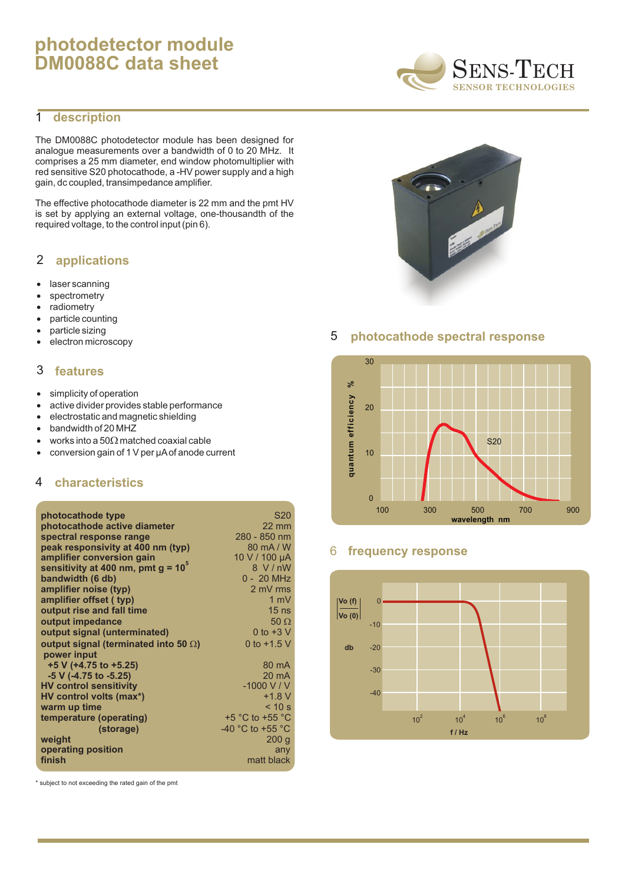# **photodetector module DM0088C data sheet**

# 1 **description**

The DM0088C photodetector module has been designed for analogue measurements over a bandwidth of 0 to 20 MHz. It comprises a 25 mm diameter, end window photomultiplier with red sensitive S20 photocathode, a -HV power supply and a high gain, dc coupled, transimpedance amplifier.

The effective photocathode diameter is 22 mm and the pmt HV is set by applying an external voltage, one-thousandth of the required voltage, to the control input (pin 6).

### **applications** 2

laser scanning spectrometry radiometry particle counting particle sizing electron microscopy

#### **features** 3

simplicity of operation active divider provides stable performance electrostatic and magnetic shielding bandwidth of 20 MHZ works into a 50 matched coaxial cable conversion gain of 1 V per µAof anode current

# 4 **characteristics**

| photocathode type                     | S <sub>20</sub>                      |
|---------------------------------------|--------------------------------------|
| photocathode active diameter          | $22 \text{ mm}$                      |
| spectral response range               | 280 - 850 nm                         |
| peak responsivity at 400 nm (typ)     | 80 mA/W                              |
| amplifier conversion gain             | 10 V / 100 µA                        |
| sensitivity at 400 nm, pmt $g = 10^5$ | 8 V/nW                               |
| bandwidth (6 db)                      | 0 - 20 MHz                           |
| amplifier noise (typ)                 | 2 mV rms                             |
| amplifier offset ( typ)               | $1 \text{ mV}$                       |
| output rise and fall time             | 15 <sub>ns</sub>                     |
| output impedance                      | 50                                   |
| output signal (unterminated)          | 0 to $+3$ V                          |
| output signal (terminated into 50)    | 0 to $+1.5$ V                        |
| power input                           |                                      |
| $+5$ V (+4.75 to +5.25)               | $80 \text{ mA}$                      |
| -5 V (-4.75 to -5.25)                 | $20 \text{ mA}$                      |
| <b>HV control sensitivity</b>         | $-1000$ V / V                        |
| HV control volts (max*)               | $+1.8 V$                             |
| warm up time                          | < 10 s                               |
| temperature (operating)               | $+5$ °C to $+55$ °C                  |
| (storage)                             | -40 $^{\circ}$ C to +55 $^{\circ}$ C |
| weight                                | 200q                                 |
| operating position                    | any                                  |
| finish                                | matt black                           |

\* subject to not exceeding the rated gain of the pmt





# 5 **photocathode spectral response**



## 6 **frequency response**